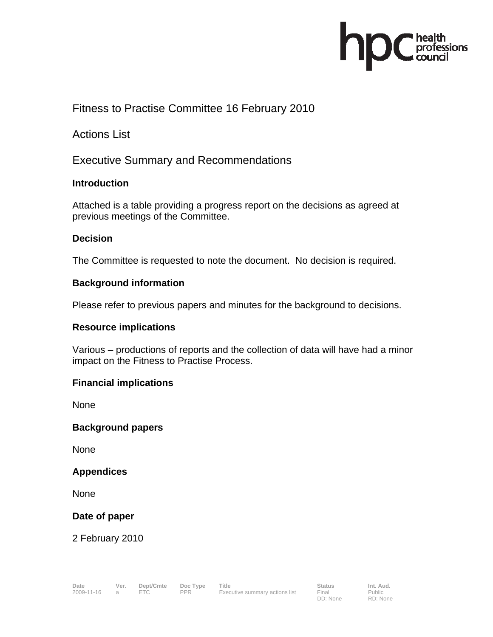

### Fitness to Practise Committee 16 February 2010

Actions List

Executive Summary and Recommendations

#### **Introduction**

Attached is a table providing a progress report on the decisions as agreed at previous meetings of the Committee.

#### **Decision**

The Committee is requested to note the document. No decision is required.

#### **Background information**

Please refer to previous papers and minutes for the background to decisions.

#### **Resource implications**

Various – productions of reports and the collection of data will have had a minor impact on the Fitness to Practise Process.

#### **Financial implications**

None

#### **Background papers**

None

#### **Appendices**

**None** 

#### **Date of paper**

2 February 2010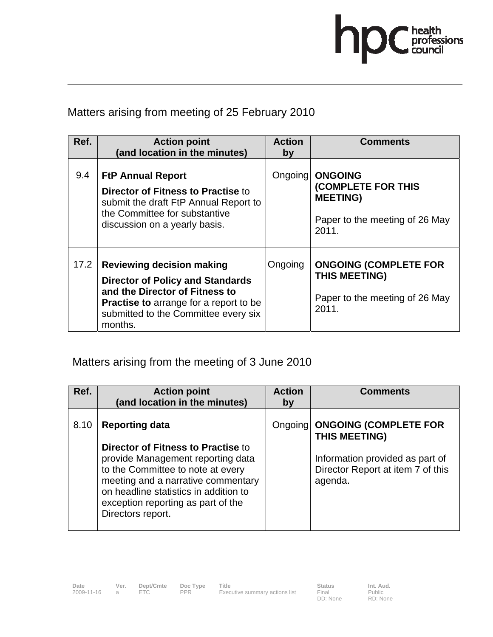

### Matters arising from meeting of 25 February 2010

| Ref. | <b>Action point</b><br>(and location in the minutes)                                                                                                                                                              | <b>Action</b><br>by | <b>Comments</b>                                                                                           |
|------|-------------------------------------------------------------------------------------------------------------------------------------------------------------------------------------------------------------------|---------------------|-----------------------------------------------------------------------------------------------------------|
| 9.4  | <b>FtP Annual Report</b><br>Director of Fitness to Practise to<br>submit the draft FtP Annual Report to<br>the Committee for substantive<br>discussion on a yearly basis.                                         | Ongoing             | <b>ONGOING</b><br><b>(COMPLETE FOR THIS</b><br><b>MEETING)</b><br>Paper to the meeting of 26 May<br>2011. |
| 17.2 | <b>Reviewing decision making</b><br><b>Director of Policy and Standards</b><br>and the Director of Fitness to<br><b>Practise to arrange for a report to be</b><br>submitted to the Committee every six<br>months. | Ongoing             | <b>ONGOING (COMPLETE FOR</b><br>THIS MEETING)<br>Paper to the meeting of 26 May<br>2011.                  |

# Matters arising from the meeting of 3 June 2010

| Ref. | <b>Action point</b><br>(and location in the minutes)                                                                                                                                                                                                   | <b>Action</b><br>by | <b>Comments</b>                                                                 |
|------|--------------------------------------------------------------------------------------------------------------------------------------------------------------------------------------------------------------------------------------------------------|---------------------|---------------------------------------------------------------------------------|
| 8.10 | <b>Reporting data</b>                                                                                                                                                                                                                                  |                     | Ongoing   ONGOING (COMPLETE FOR<br>THIS MEETING)                                |
|      | Director of Fitness to Practise to<br>provide Management reporting data<br>to the Committee to note at every<br>meeting and a narrative commentary<br>on headline statistics in addition to<br>exception reporting as part of the<br>Directors report. |                     | Information provided as part of<br>Director Report at item 7 of this<br>agenda. |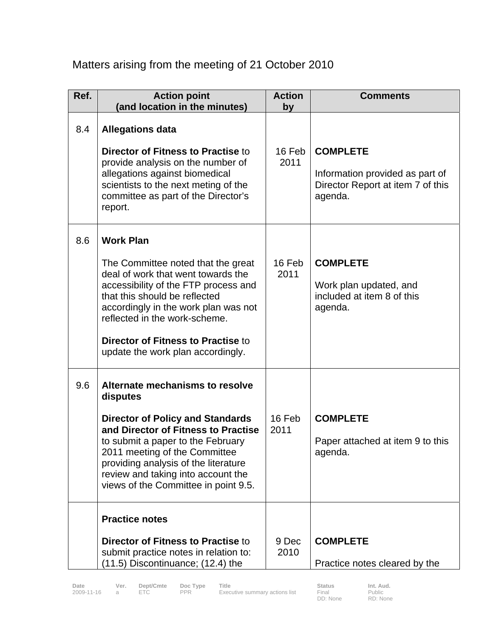## Matters arising from the meeting of 21 October 2010

| Ref. | <b>Action point</b><br>(and location in the minutes)                                                                                                                                                                                                                                                                             | <b>Action</b><br>by | <b>Comments</b>                                                                                    |
|------|----------------------------------------------------------------------------------------------------------------------------------------------------------------------------------------------------------------------------------------------------------------------------------------------------------------------------------|---------------------|----------------------------------------------------------------------------------------------------|
| 8.4  | <b>Allegations data</b><br><b>Director of Fitness to Practise to</b><br>provide analysis on the number of<br>allegations against biomedical<br>scientists to the next meting of the<br>committee as part of the Director's<br>report.                                                                                            | 16 Feb<br>2011      | <b>COMPLETE</b><br>Information provided as part of<br>Director Report at item 7 of this<br>agenda. |
| 8.6  | <b>Work Plan</b><br>The Committee noted that the great<br>deal of work that went towards the<br>accessibility of the FTP process and<br>that this should be reflected<br>accordingly in the work plan was not<br>reflected in the work-scheme.<br><b>Director of Fitness to Practise to</b><br>update the work plan accordingly. | 16 Feb<br>2011      | <b>COMPLETE</b><br>Work plan updated, and<br>included at item 8 of this<br>agenda.                 |
| 9.6  | Alternate mechanisms to resolve<br>disputes<br><b>Director of Policy and Standards</b><br>and Director of Fitness to Practise<br>to submit a paper to the February<br>2011 meeting of the Committee<br>providing analysis of the literature<br>review and taking into account the<br>views of the Committee in point 9.5.        | 16 Feb<br>2011      | <b>COMPLETE</b><br>Paper attached at item 9 to this<br>agenda.                                     |
|      | <b>Practice notes</b><br>Director of Fitness to Practise to<br>submit practice notes in relation to:<br>(11.5) Discontinuance; (12.4) the                                                                                                                                                                                        | 9 Dec<br>2010       | <b>COMPLETE</b><br>Practice notes cleared by the                                                   |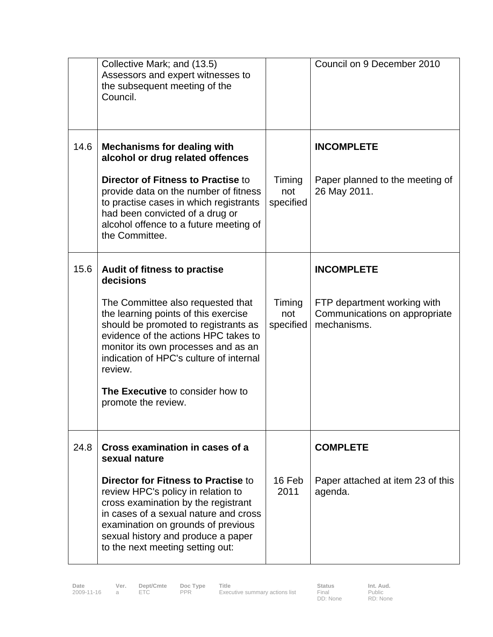|      | Collective Mark; and (13.5)<br>Assessors and expert witnesses to<br>the subsequent meeting of the<br>Council.                                                                                                                                                                    |                            | Council on 9 December 2010                                                  |
|------|----------------------------------------------------------------------------------------------------------------------------------------------------------------------------------------------------------------------------------------------------------------------------------|----------------------------|-----------------------------------------------------------------------------|
| 14.6 | <b>Mechanisms for dealing with</b><br>alcohol or drug related offences                                                                                                                                                                                                           |                            | <b>INCOMPLETE</b>                                                           |
|      | <b>Director of Fitness to Practise to</b><br>provide data on the number of fitness<br>to practise cases in which registrants<br>had been convicted of a drug or<br>alcohol offence to a future meeting of<br>the Committee.                                                      | Timing<br>not<br>specified | Paper planned to the meeting of<br>26 May 2011.                             |
| 15.6 | Audit of fitness to practise<br>decisions                                                                                                                                                                                                                                        |                            | <b>INCOMPLETE</b>                                                           |
|      | The Committee also requested that<br>the learning points of this exercise<br>should be promoted to registrants as<br>evidence of the actions HPC takes to<br>monitor its own processes and as an<br>indication of HPC's culture of internal<br>review.                           | Timing<br>not<br>specified | FTP department working with<br>Communications on appropriate<br>mechanisms. |
|      | The Executive to consider how to<br>promote the review.                                                                                                                                                                                                                          |                            |                                                                             |
| 24.8 | Cross examination in cases of a<br>sexual nature                                                                                                                                                                                                                                 |                            | <b>COMPLETE</b>                                                             |
|      | <b>Director for Fitness to Practise to</b><br>review HPC's policy in relation to<br>cross examination by the registrant<br>in cases of a sexual nature and cross<br>examination on grounds of previous<br>sexual history and produce a paper<br>to the next meeting setting out: | 16 Feb<br>2011             | Paper attached at item 23 of this<br>agenda.                                |